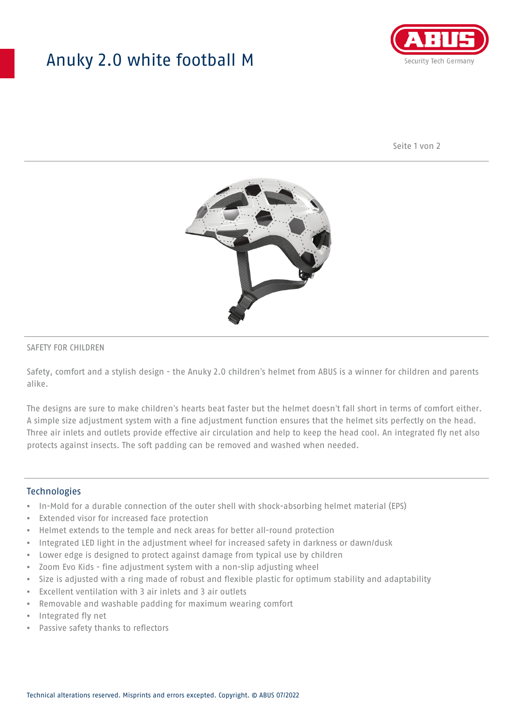## Anuky 2.0 white football M



Seite 1 von 2



### SAFETY FOR CHILDREN

Safety, comfort and a stylish design - the Anuky 2.0 children's helmet from ABUS is a winner for children and parents alike.

The designs are sure to make children's hearts beat faster but the helmet doesn't fall short in terms of comfort either. A simple size adjustment system with a fine adjustment function ensures that the helmet sits perfectly on the head. Three air inlets and outlets provide effective air circulation and help to keep the head cool. An integrated fly net also protects against insects. The soft padding can be removed and washed when needed.

#### **Technologies**

- In-Mold for a durable connection of the outer shell with shock-absorbing helmet material (EPS)
- Extended visor for increased face protection
- Helmet extends to the temple and neck areas for better all-round protection
- Integrated LED light in the adjustment wheel for increased safety in darkness or dawn/dusk
- Lower edge is designed to protect against damage from typical use by children
- Zoom Evo Kids fine adjustment system with a non-slip adjusting wheel
- Size is adjusted with a ring made of robust and flexible plastic for optimum stability and adaptability
- Excellent ventilation with 3 air inlets and 3 air outlets
- Removable and washable padding for maximum wearing comfort
- Integrated fly net
- Passive safety thanks to reflectors